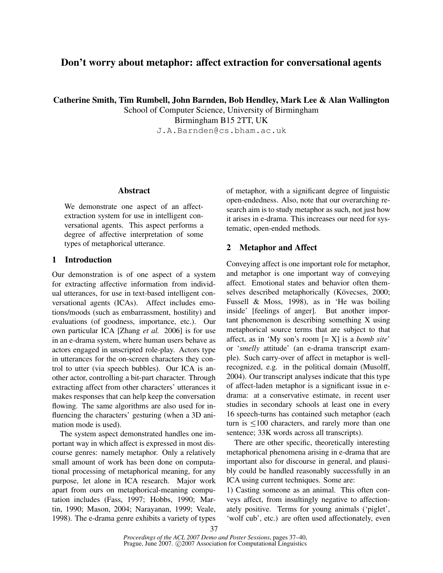# **Don't worry about metaphor: affect extraction for conversational agents**

**Catherine Smith, Tim Rumbell, John Barnden, Bob Hendley, Mark Lee & Alan Wallington**

School of Computer Science, University of Birmingham Birmingham B15 2TT, UK J.A.Barnden@cs.bham.ac.uk

# **Abstract**

We demonstrate one aspect of an affectextraction system for use in intelligent conversational agents. This aspect performs a degree of affective interpretation of some types of metaphorical utterance.

# **1 Introduction**

Our demonstration is of one aspect of a system for extracting affective information from individual utterances, for use in text-based intelligent conversational agents (ICAs). Affect includes emotions/moods (such as embarrassment, hostility) and evaluations (of goodness, importance, etc.). Our own particular ICA [Zhang *et al.* 2006] is for use in an e-drama system, where human users behave as actors engaged in unscripted role-play. Actors type in utterances for the on-screen characters they control to utter (via speech bubbles). Our ICA is another actor, controlling a bit-part character. Through extracting affect from other characters' utterances it makes responses that can help keep the conversation flowing. The same algorithms are also used for influencing the characters' gesturing (when a 3D animation mode is used).

The system aspect demonstrated handles one important way in which affect is expressed in most discourse genres: namely metaphor. Only a relatively small amount of work has been done on computational processing of metaphorical meaning, for any purpose, let alone in ICA research. Major work apart from ours on metaphorical-meaning computation includes (Fass, 1997; Hobbs, 1990; Martin, 1990; Mason, 2004; Narayanan, 1999; Veale, 1998). The e-drama genre exhibits a variety of types of metaphor, with a significant degree of linguistic open-endedness. Also, note that our overarching research aim is to study metaphor as such, not just how it arises in e-drama. This increases our need for systematic, open-ended methods.

# **2 Metaphor and Affect**

Conveying affect is one important role for metaphor, and metaphor is one important way of conveying affect. Emotional states and behavior often themselves described metaphorically (Kövecses, 2000; Fussell & Moss, 1998), as in 'He was boiling inside' [feelings of anger]. But another important phenomenon is describing something X using metaphorical source terms that are subject to that affect, as in 'My son's room [= X] is a *bomb site*' or '*smelly* attitude' (an e-drama transcript example). Such carry-over of affect in metaphor is wellrecognized, e.g. in the political domain (Musolff, 2004). Our transcript analyses indicate that this type of affect-laden metaphor is a significant issue in edrama: at a conservative estimate, in recent user studies in secondary schools at least one in every 16 speech-turns has contained such metaphor (each turn is  $\leq 100$  characters, and rarely more than one sentence; 33K words across all transcripts).

There are other specific, theoretically interesting metaphorical phenomena arising in e-drama that are important also for discourse in general, and plausibly could be handled reasonably successfully in an ICA using current techniques. Some are:

1) Casting someone as an animal. This often conveys affect, from insultingly negative to affectionately positive. Terms for young animals ('piglet', 'wolf cub', etc.) are often used affectionately, even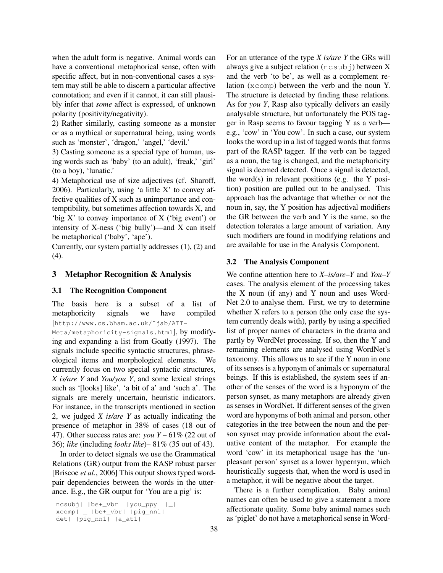when the adult form is negative. Animal words can have a conventional metaphorical sense, often with specific affect, but in non-conventional cases a system may still be able to discern a particular affective connotation; and even if it cannot, it can still plausibly infer that *some* affect is expressed, of unknown polarity (positivity/negativity).

2) Rather similarly, casting someone as a monster or as a mythical or supernatural being, using words such as 'monster', 'dragon,' 'angel,' 'devil.'

3) Casting someone as a special type of human, using words such as 'baby' (to an adult), 'freak,' 'girl' (to a boy), 'lunatic.'

4) Metaphorical use of size adjectives (cf. Sharoff, 2006). Particularly, using 'a little X' to convey affective qualities of X such as unimportance and contemptibility, but sometimes affection towards X, and 'big X' to convey importance of X ('big event') or intensity of X-ness ('big bully')—and X can itself be metaphorical ('baby', 'ape').

Currently, our system partially addresses (1), (2) and (4).

# **3 Metaphor Recognition & Analysis**

### **3.1 The Recognition Component**

The basis here is a subset of a list of metaphoricity signals we have compiled [http://www.cs.bham.ac.uk/˜jab/ATT-

Meta/metaphoricity-signals.html], by modifying and expanding a list from Goatly (1997). The signals include specific syntactic structures, phraseological items and morphological elements. We currently focus on two special syntactic structures, *X is/are Y* and *You/you Y*, and some lexical strings such as '[looks] like', 'a bit of a' and 'such a'. The signals are merely uncertain, heuristic indicators. For instance, in the transcripts mentioned in section 2, we judged *X is/are Y* as actually indicating the presence of metaphor in 38% of cases (18 out of 47). Other success rates are: *you Y* – 61% (22 out of 36); *like* (including *looks like*)– 81% (35 out of 43).

In order to detect signals we use the Grammatical Relations (GR) output from the RASP robust parser [Briscoe *et al.*, 2006] This output shows typed wordpair dependencies between the words in the utterance. E.g., the GR output for 'You are a pig' is:

```
|ncsubj| |be+_vbr| |you_ppy| |_|
|xcomp| _ |be+_vbr| |pig_nn1|
|det| |pig_nn1| |a_at1|
```
For an utterance of the type *X is/are Y* the GRs will always give a subject relation  $(ncsub)$  between X and the verb 'to be', as well as a complement relation (xcomp) between the verb and the noun Y. The structure is detected by finding these relations. As for *you Y*, Rasp also typically delivers an easily analysable structure, but unfortunately the POS tagger in Rasp seems to favour tagging Y as a verb e.g., 'cow' in 'You cow'. In such a case, our system looks the word up in a list of tagged words that forms part of the RASP tagger. If the verb can be tagged as a noun, the tag is changed, and the metaphoricity signal is deemed detected. Once a signal is detected, the word(s) in relevant positions (e.g. the Y position) position are pulled out to be analysed. This approach has the advantage that whether or not the noun in, say, the Y position has adjectival modifiers the GR between the verb and Y is the same, so the detection tolerates a large amount of variation. Any such modifiers are found in modifying relations and are available for use in the Analysis Component.

### **3.2 The Analysis Component**

We confine attention here to *X–is/are–Y* and *You–Y* cases. The analysis element of the processing takes the X noun (if any) and Y noun and uses Word-Net 2.0 to analyse them. First, we try to determine whether X refers to a person (the only case the system currently deals with), partly by using a specified list of proper names of characters in the drama and partly by WordNet processing. If so, then the Y and remaining elements are analysed using WordNet's taxonomy. This allows us to see if the Y noun in one of its senses is a hyponym of animals or supernatural beings. If this is established, the system sees if another of the senses of the word is a hyponym of the person synset, as many metaphors are already given as senses in WordNet. If different senses of the given word are hyponyms of both animal and person, other categories in the tree between the noun and the person synset may provide information about the evaluative content of the metaphor. For example the word 'cow' in its metaphorical usage has the 'unpleasant person' synset as a lower hypernym, which heuristically suggests that, when the word is used in a metaphor, it will be negative about the target.

There is a further complication. Baby animal names can often be used to give a statement a more affectionate quality. Some baby animal names such as 'piglet' do not have a metaphorical sense in Word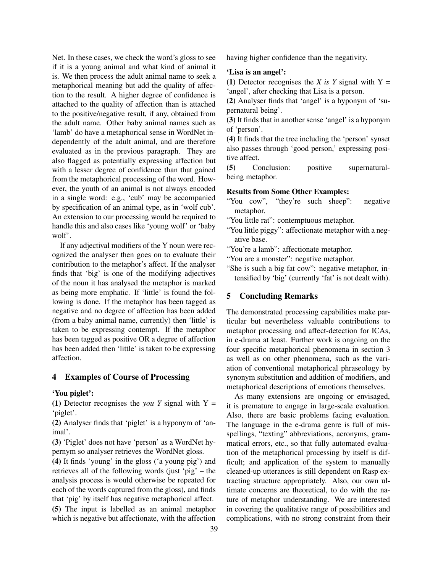Net. In these cases, we check the word's gloss to see if it is a young animal and what kind of animal it is. We then process the adult animal name to seek a metaphorical meaning but add the quality of affection to the result. A higher degree of confidence is attached to the quality of affection than is attached to the positive/negative result, if any, obtained from the adult name. Other baby animal names such as 'lamb' do have a metaphorical sense in WordNet independently of the adult animal, and are therefore evaluated as in the previous paragraph. They are also flagged as potentially expressing affection but with a lesser degree of confidence than that gained from the metaphorical processing of the word. However, the youth of an animal is not always encoded in a single word: e.g., 'cub' may be accompanied by specification of an animal type, as in 'wolf cub'. An extension to our processing would be required to handle this and also cases like 'young wolf' or 'baby wolf'.

If any adjectival modifiers of the Y noun were recognized the analyser then goes on to evaluate their contribution to the metaphor's affect. If the analyser finds that 'big' is one of the modifying adjectives of the noun it has analysed the metaphor is marked as being more emphatic. If 'little' is found the following is done. If the metaphor has been tagged as negative and no degree of affection has been added (from a baby animal name, currently) then 'little' is taken to be expressing contempt. If the metaphor has been tagged as positive OR a degree of affection has been added then 'little' is taken to be expressing affection.

## **4 Examples of Course of Processing**

#### **'You piglet':**

**(1)** Detector recognises the *you Y* signal with Y = 'piglet'.

**(2)** Analyser finds that 'piglet' is a hyponym of 'animal'.

**(3)** 'Piglet' does not have 'person' as a WordNet hypernym so analyser retrieves the WordNet gloss.

**(4)** It finds 'young' in the gloss ('a young pig') and retrieves all of the following words (just 'pig' – the analysis process is would otherwise be repeated for each of the words captured from the gloss), and finds that 'pig' by itself has negative metaphorical affect. **(5)** The input is labelled as an animal metaphor

which is negative but affectionate, with the affection

having higher confidence than the negativity.

#### **'Lisa is an angel':**

(1) Detector recognises the *X is Y* signal with  $Y =$ 'angel', after checking that Lisa is a person.

**(2)** Analyser finds that 'angel' is a hyponym of 'supernatural being'.

**(3)** It finds that in another sense 'angel' is a hyponym of 'person'.

**(4)** It finds that the tree including the 'person' synset also passes through 'good person,' expressing positive affect.

**(5)** Conclusion: positive supernaturalbeing metaphor.

### **Results from Some Other Examples:**

- "You cow", "they're such sheep": negative metaphor.
- "You little rat": contemptuous metaphor.
- "You little piggy": affectionate metaphor with a negative base.
- "You're a lamb": affectionate metaphor.
- "You are a monster": negative metaphor.
- "She is such a big fat cow": negative metaphor, intensified by 'big' (currently 'fat' is not dealt with).

# **5 Concluding Remarks**

The demonstrated processing capabilities make particular but nevertheless valuable contributions to metaphor processing and affect-detection for ICAs, in e-drama at least. Further work is ongoing on the four specific metaphorical phenomena in section 3 as well as on other phenomena, such as the variation of conventional metaphorical phraseology by synonym substitution and addition of modifiers, and metaphorical descriptions of emotions themselves.

As many extensions are ongoing or envisaged, it is premature to engage in large-scale evaluation. Also, there are basic problems facing evaluation. The language in the e-drama genre is full of misspellings, "texting" abbreviations, acronyms, grammatical errors, etc., so that fully automated evaluation of the metaphorical processing by itself is difficult; and application of the system to manually cleaned-up utterances is still dependent on Rasp extracting structure appropriately. Also, our own ultimate concerns are theoretical, to do with the nature of metaphor understanding. We are interested in covering the qualitative range of possibilities and complications, with no strong constraint from their